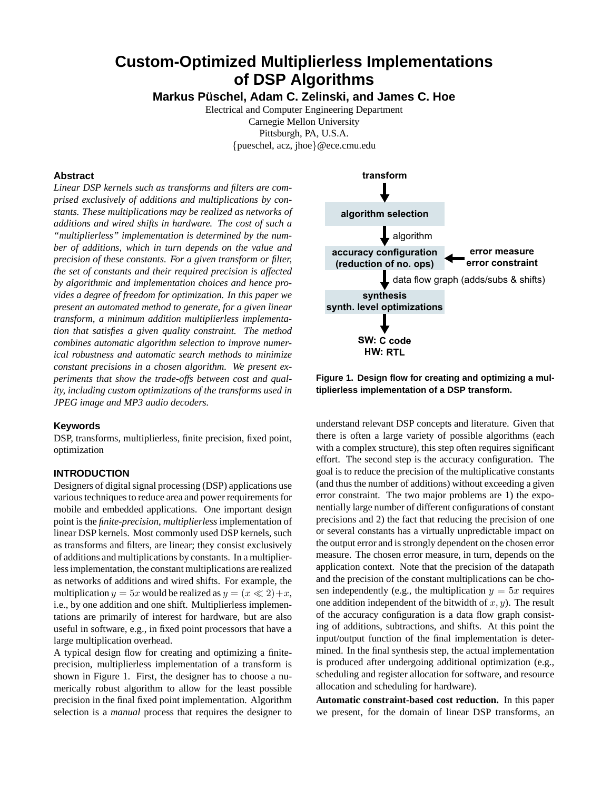# **Custom-Optimized Multiplierless Implementations of DSP Algorithms**

**Markus Pusc ¨ hel, Adam C. Zelinski, and James C. Hoe**

Electrical and Computer Engineering Department Carnegie Mellon University Pittsburgh, PA, U.S.A. {pueschel, acz, jhoe}@ece.cmu.edu

# **Abstract**

*Linear DSP kernels such as transforms and filters are comprised exclusively of additions and multiplications by constants. These multiplications may be realized as networks of additions and wired shifts in hardware. The cost of such a "multiplierless" implementation is determined by the number of additions, which in turn depends on the value and precision of these constants. For a given transform or filter, the set of constants and their required precision is affected by algorithmic and implementation choices and hence provides a degree of freedom for optimization. In this paper we present an automated method to generate, for a given linear transform, a minimum addition multiplierless implementation that satisfies a given quality constraint. The method combines automatic algorithm selection to improve numerical robustness and automatic search methods to minimize constant precisions in a chosen algorithm. We present experiments that show the trade-offs between cost and quality, including custom optimizations of the transforms used in JPEG image and MP3 audio decoders.*

#### **Keywords**

DSP, transforms, multiplierless, finite precision, fixed point, optimization

#### **INTRODUCTION**

Designers of digital signal processing (DSP) applications use various techniques to reduce area and power requirements for mobile and embedded applications. One important design point is the *finite-precision*, *multiplierless* implementation of linear DSP kernels. Most commonly used DSP kernels, such as transforms and filters, are linear; they consist exclusively of additions and multiplications by constants. In a multiplierlessimplementation, the constant multiplications are realized as networks of additions and wired shifts. For example, the multiplication  $y = 5x$  would be realized as  $y = (x \ll 2) + x$ , i.e., by one addition and one shift. Multiplierless implementations are primarily of interest for hardware, but are also useful in software, e.g., in fixed point processors that have a large multiplication overhead.

A typical design flow for creating and optimizing a finiteprecision, multiplierless implementation of a transform is shown in Figure 1. First, the designer has to choose a numerically robust algorithm to allow for the least possible precision in the final fixed point implementation. Algorithm selection is a *manual* process that requires the designer to



**Figure 1. Design flow for creating and optimizing a multiplierless implementation of a DSP transform.**

understand relevant DSP concepts and literature. Given that there is often a large variety of possible algorithms (each with a complex structure), this step often requires significant effort. The second step is the accuracy configuration. The goal is to reduce the precision of the multiplicative constants (and thus the number of additions) without exceeding a given error constraint. The two major problems are 1) the exponentially large number of different configurations of constant precisions and 2) the fact that reducing the precision of one or several constants has a virtually unpredictable impact on the output error and is strongly dependent on the chosen error measure. The chosen error measure, in turn, depends on the application context. Note that the precision of the datapath and the precision of the constant multiplications can be chosen independently (e.g., the multiplication  $y = 5x$  requires one addition independent of the bitwidth of  $x, y$ ). The result of the accuracy configuration is a data flow graph consisting of additions, subtractions, and shifts. At this point the input/output function of the final implementation is determined. In the final synthesis step, the actual implementation is produced after undergoing additional optimization (e.g., scheduling and register allocation for software, and resource allocation and scheduling for hardware).

**Automatic constraint-based cost reduction.** In this paper we present, for the domain of linear DSP transforms, an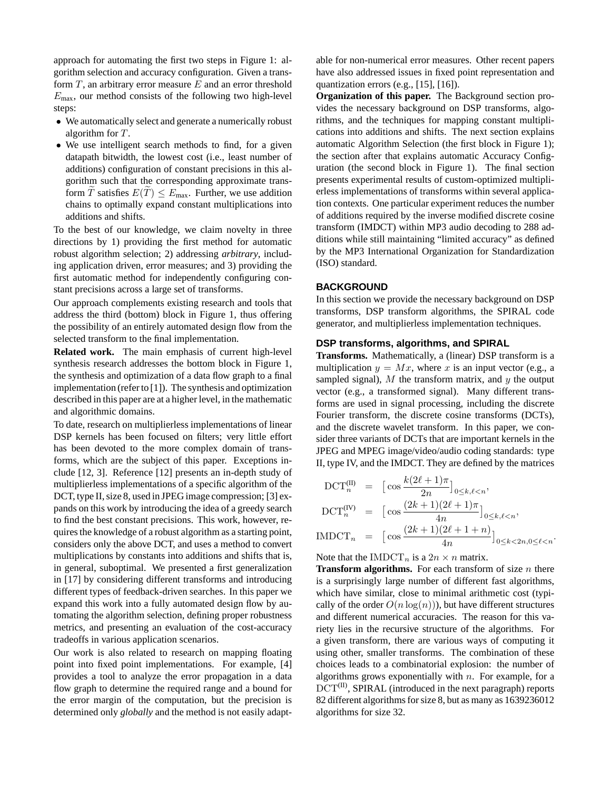approach for automating the first two steps in Figure 1: algorithm selection and accuracy configuration. Given a transform  $T$ , an arbitrary error measure  $E$  and an error threshold  $E_{\text{max}}$ , our method consists of the following two high-level steps:

- We automatically select and generate a numerically robust algorithm for T.
- We use intelligent search methods to find, for a given datapath bitwidth, the lowest cost (i.e., least number of additions) configuration of constant precisions in this algorithm such that the corresponding approximate transform  $\widetilde{T}$  satisfies  $E(\widetilde{T}) \leq E_{\text{max}}$ . Further, we use addition chains to optimally expand constant multiplications into additions and shifts.

To the best of our knowledge, we claim novelty in three directions by 1) providing the first method for automatic robust algorithm selection; 2) addressing *arbitrary*, including application driven, error measures; and 3) providing the first automatic method for independently configuring constant precisions across a large set of transforms.

Our approach complements existing research and tools that address the third (bottom) block in Figure 1, thus offering the possibility of an entirely automated design flow from the selected transform to the final implementation.

**Related work.** The main emphasis of current high-level synthesis research addresses the bottom block in Figure 1, the synthesis and optimization of a data flow graph to a final implementation (referto [1]). The synthesis and optimization described in this paper are at a higher level, in the mathematic and algorithmic domains.

To date, research on multiplierless implementations of linear DSP kernels has been focused on filters; very little effort has been devoted to the more complex domain of transforms, which are the subject of this paper. Exceptions include [12, 3]. Reference [12] presents an in-depth study of multiplierless implementations of a specific algorithm of the DCT, type II, size 8, used in JPEG image compression; [3] expands on this work by introducing the idea of a greedy search to find the best constant precisions. This work, however, requires the knowledge of a robust algorithm as a starting point, considers only the above DCT, and uses a method to convert multiplications by constants into additions and shifts that is, in general, suboptimal. We presented a first generalization in [17] by considering different transforms and introducing different types of feedback-driven searches. In this paper we expand this work into a fully automated design flow by automating the algorithm selection, defining proper robustness metrics, and presenting an evaluation of the cost-accuracy tradeoffs in various application scenarios.

Our work is also related to research on mapping floating point into fixed point implementations. For example, [4] provides a tool to analyze the error propagation in a data flow graph to determine the required range and a bound for the error margin of the computation, but the precision is determined only *globally* and the method is not easily adaptable for non-numerical error measures. Other recent papers have also addressed issues in fixed point representation and quantization errors (e.g., [15], [16]).

**Organization of this paper.** The Background section provides the necessary background on DSP transforms, algorithms, and the techniques for mapping constant multiplications into additions and shifts. The next section explains automatic Algorithm Selection (the first block in Figure 1); the section after that explains automatic Accuracy Configuration (the second block in Figure 1). The final section presents experimental results of custom-optimized multiplierless implementations of transforms within several application contexts. One particular experiment reduces the number of additions required by the inverse modified discrete cosine transform (IMDCT) within MP3 audio decoding to 288 additions while still maintaining "limited accuracy" as defined by the MP3 International Organization for Standardization (ISO) standard.

### **BACKGROUND**

In this section we provide the necessary background on DSP transforms, DSP transform algorithms, the SPIRAL code generator, and multiplierless implementation techniques.

#### **DSP transforms, algorithms, and SPIRAL**

**Transforms.** Mathematically, a (linear) DSP transform is a multiplication  $y = Mx$ , where x is an input vector (e.g., a sampled signal),  $M$  the transform matrix, and  $y$  the output vector (e.g., a transformed signal). Many different transforms are used in signal processing, including the discrete Fourier transform, the discrete cosine transforms (DCTs), and the discrete wavelet transform. In this paper, we consider three variants of DCTs that are important kernels in the JPEG and MPEG image/video/audio coding standards: type II, type IV, and the IMDCT. They are defined by the matrices

$$
DCT_n^{(II)} = \left[\cos\frac{k(2\ell+1)\pi}{2n}\right]_{0 \le k,\ell < n},
$$
\n
$$
DCT_n^{(IV)} = \left[\cos\frac{(2k+1)(2\ell+1)\pi}{4n}\right]_{0 \le k,\ell < n},
$$
\n
$$
IMDCT_n = \left[\cos\frac{(2k+1)(2\ell+1+n)}{4n}\right]_{0 \le k < 2n, 0 \le \ell < n}.
$$

Note that the IMDCT<sub>n</sub> is a  $2n \times n$  matrix.

**Transform algorithms.** For each transform of size *n* there is a surprisingly large number of different fast algorithms, which have similar, close to minimal arithmetic cost (typically of the order  $O(n \log(n))$ , but have different structures and different numerical accuracies. The reason for this variety lies in the recursive structure of the algorithms. For a given transform, there are various ways of computing it using other, smaller transforms. The combination of these choices leads to a combinatorial explosion: the number of algorithms grows exponentially with  $n$ . For example, for a  $DCT^{(II)}$ , SPIRAL (introduced in the next paragraph) reports 82 different algorithms for size 8, but as many as 1639236012 algorithms for size 32.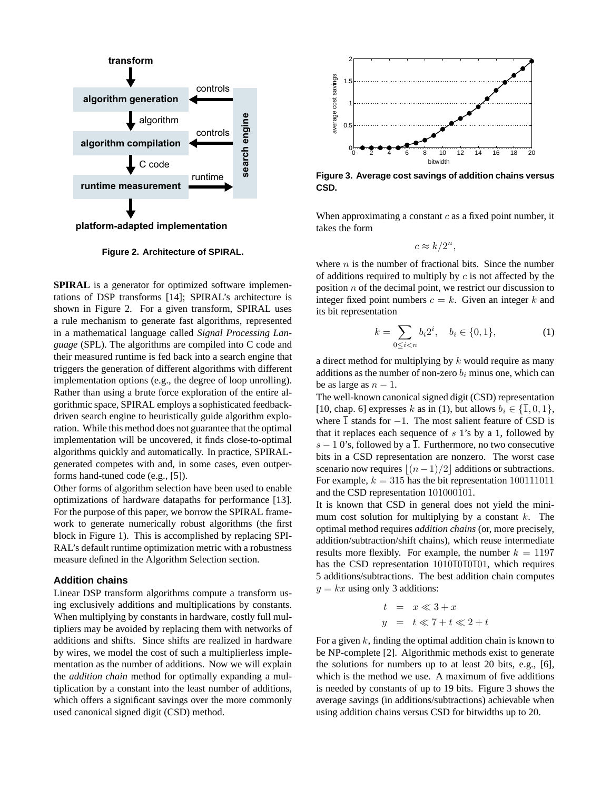

**Figure 2. Architecture of SPIRAL.**

**SPIRAL** is a generator for optimized software implementations of DSP transforms [14]; SPIRAL's architecture is shown in Figure 2. For a given transform, SPIRAL uses a rule mechanism to generate fast algorithms, represented in a mathematical language called *Signal Processing Language* (SPL). The algorithms are compiled into C code and their measured runtime is fed back into a search engine that triggers the generation of different algorithms with different implementation options (e.g., the degree of loop unrolling). Rather than using a brute force exploration of the entire algorithmic space, SPIRAL employs a sophisticated feedbackdriven search engine to heuristically guide algorithm exploration. While this method does not guarantee that the optimal implementation will be uncovered, it finds close-to-optimal algorithms quickly and automatically. In practice, SPIRALgenerated competes with and, in some cases, even outperforms hand-tuned code (e.g., [5]).

Other forms of algorithm selection have been used to enable optimizations of hardware datapaths for performance [13]. For the purpose of this paper, we borrow the SPIRAL framework to generate numerically robust algorithms (the first block in Figure 1). This is accomplished by replacing SPI-RAL's default runtime optimization metric with a robustness measure defined in the Algorithm Selection section.

#### **Addition chains**

Linear DSP transform algorithms compute a transform using exclusively additions and multiplications by constants. When multiplying by constants in hardware, costly full multipliers may be avoided by replacing them with networks of additions and shifts. Since shifts are realized in hardware by wires, we model the cost of such a multiplierless implementation as the number of additions. Now we will explain the *addition chain* method for optimally expanding a multiplication by a constant into the least number of additions, which offers a significant savings over the more commonly used canonical signed digit (CSD) method.



**Figure 3. Average cost savings of addition chains versus CSD.**

When approximating a constant  $c$  as a fixed point number, it takes the form

$$
c \approx k/2^n,
$$

where  $n$  is the number of fractional bits. Since the number of additions required to multiply by  $c$  is not affected by the position n of the decimal point, we restrict our discussion to integer fixed point numbers  $c = k$ . Given an integer k and its bit representation

$$
k = \sum_{0 \le i < n} b_i 2^i, \quad b_i \in \{0, 1\},\tag{1}
$$

a direct method for multiplying by  $k$  would require as many additions as the number of non-zero  $b_i$  minus one, which can be as large as  $n - 1$ .

The well-known canonical signed digit (CSD) representation [10, chap. 6] expresses k as in (1), but allows  $b_i \in \{\overline{1}, 0, 1\}$ , where  $\overline{1}$  stands for −1. The most salient feature of CSD is that it replaces each sequence of  $s$  1's by a 1, followed by s − 1 0's, followed by a  $\overline{1}$ . Furthermore, no two consecutive bits in a CSD representation are nonzero. The worst case scenario now requires  $(n-1)/2$  additions or subtractions. For example,  $k = 315$  has the bit representation 100111011 and the CSD representation  $101000\overline{101}$ .

It is known that CSD in general does not yield the minimum cost solution for multiplying by a constant  $k$ . The optimal method requires *addition chains* (or, more precisely, addition/subtraction/shift chains), which reuse intermediate results more flexibly. For example, the number  $k = 1197$ has the CSD representation  $1010\overline{1}0\overline{1}0\overline{1}01$ , which requires 5 additions/subtractions. The best addition chain computes  $y = kx$  using only 3 additions:

$$
t = x \ll 3 + x
$$
  

$$
y = t \ll 7 + t \ll 2 + t
$$

For a given  $k$ , finding the optimal addition chain is known to be NP-complete [2]. Algorithmic methods exist to generate the solutions for numbers up to at least 20 bits, e.g., [6], which is the method we use. A maximum of five additions is needed by constants of up to 19 bits. Figure 3 shows the average savings (in additions/subtractions) achievable when using addition chains versus CSD for bitwidths up to 20.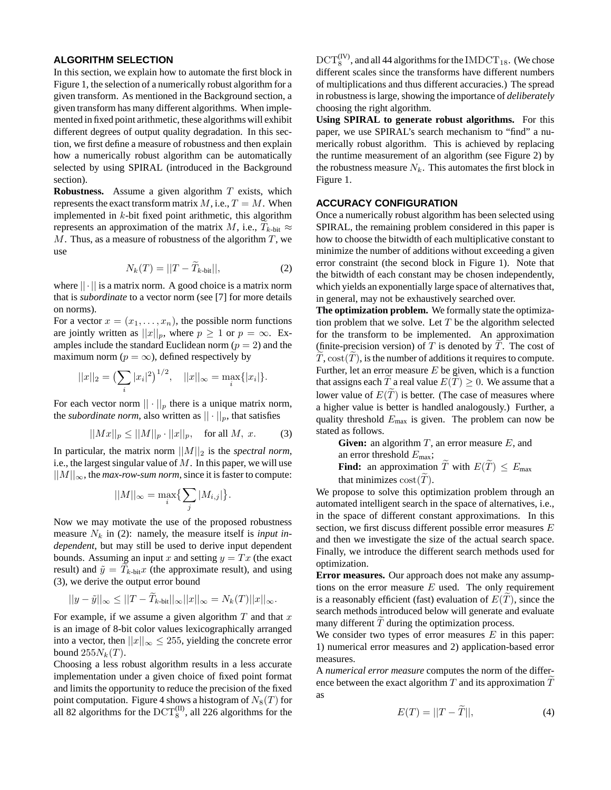#### **ALGORITHM SELECTION**

In this section, we explain how to automate the first block in Figure 1, the selection of a numerically robust algorithm for a given transform. As mentioned in the Background section, a given transform has many different algorithms. When implemented in fixed point arithmetic, these algorithms will exhibit different degrees of output quality degradation. In this section, we first define a measure of robustness and then explain how a numerically robust algorithm can be automatically selected by using SPIRAL (introduced in the Background section).

**Robustness.** Assume a given algorithm T exists, which represents the exact transform matrix  $M$ , i.e.,  $T = M$ . When implemented in k-bit fixed point arithmetic, this algorithm represents an approximation of the matrix M, i.e.,  $T_{k\text{-bit}} \approx$  $M$ . Thus, as a measure of robustness of the algorithm  $T$ , we use

$$
N_k(T) = ||T - \overline{T}_{k\text{-bit}}||,\tag{2}
$$

where  $|| \cdot ||$  is a matrix norm. A good choice is a matrix norm that is *subordinate* to a vector norm (see [7] for more details on norms).

For a vector  $x = (x_1, \ldots, x_n)$ , the possible norm functions are jointly written as  $||x||_p$ , where  $p \ge 1$  or  $p = \infty$ . Examples include the standard Euclidean norm  $(p = 2)$  and the maximum norm ( $p = \infty$ ), defined respectively by

$$
||x||_2 = \left(\sum_i |x_i|^2\right)^{1/2}, \quad ||x||_{\infty} = \max_i\{|x_i|\}.
$$

For each vector norm  $|| \cdot ||_p$  there is a unique matrix norm, the *subordinate norm*, also written as  $|| \cdot ||_p$ , that satisfies

$$
||Mx||_p \le ||M||_p \cdot ||x||_p, \text{ for all } M, x.
$$
 (3)

In particular, the matrix norm  $||M||_2$  is the *spectral norm*, i.e., the largest singular value of  $M$ . In this paper, we will use  $||M||_{\infty}$ , the *max-row-sum norm*, since it is faster to compute:

$$
||M||_{\infty} = \max_{i} \{ \sum_{j} |M_{i,j}| \}.
$$

Now we may motivate the use of the proposed robustness measure  $N_k$  in (2): namely, the measure itself is *input independent*, but may still be used to derive input dependent bounds. Assuming an input x and setting  $y = Tx$  (the exact result) and  $\tilde{y} = T_{k\text{-bit}}x$  (the approximate result), and using (3), we derive the output error bound

$$
||y-\tilde{y}||_{\infty} \leq ||T-\tilde{T}_{k\text{-bit}}||_{\infty}||x||_{\infty} = N_{k}(T)||x||_{\infty}.
$$

For example, if we assume a given algorithm  $T$  and that  $x$ is an image of 8-bit color values lexicographically arranged into a vector, then  $||x||_{\infty} \le 255$ , yielding the concrete error bound  $255N_k(T)$ .

Choosing a less robust algorithm results in a less accurate implementation under a given choice of fixed point format and limits the opportunity to reduce the precision of the fixed point computation. Figure 4 shows a histogram of  $N_8(T)$  for all 82 algorithms for the  $\mathrm{DCT}_8^{(\mathrm{II})}$ , all 226 algorithms for the

 $\mathrm{DCT}_8^{(IV)}$ , and all 44 algorithms for the IMDCT<sub>18</sub>. (We chose different scales since the transforms have different numbers of multiplications and thus different accuracies.) The spread in robustness is large, showing the importance of *deliberately* choosing the right algorithm.

**Using SPIRAL to generate robust algorithms.** For this paper, we use SPIRAL's search mechanism to "find" a numerically robust algorithm. This is achieved by replacing the runtime measurement of an algorithm (see Figure 2) by the robustness measure  $N_k$ . This automates the first block in Figure 1.

# **ACCURACY CONFIGURATION**

Once a numerically robust algorithm has been selected using SPIRAL, the remaining problem considered in this paper is how to choose the bitwidth of each multiplicative constant to minimize the number of additions without exceeding a given error constraint (the second block in Figure 1). Note that the bitwidth of each constant may be chosen independently, which yields an exponentially large space of alternatives that, in general, may not be exhaustively searched over.

**The optimization problem.** We formally state the optimization problem that we solve. Let  $T$  be the algorithm selected for the transform to be implemented. An approximation (finite-precision version) of  $T$  is denoted by  $T$ . The cost of  $T, \text{cost}(T)$ , is the number of additions it requires to compute. Further, let an error measure  $E$  be given, which is a function that assigns each T a real value  $E(T) \geq 0$ . We assume that a lower value of  $E(\tilde{T})$  is better. (The case of measures where a higher value is better is handled analogously.) Further, a quality threshold  $E_{\text{max}}$  is given. The problem can now be stated as follows.

**Given:** an algorithm  $T$ , an error measure  $E$ , and an error threshold  $E_{\rm max}$ ; **Find:** an approximation  $\widetilde{T}$  with  $E(\widetilde{T}) \leq E_{\text{max}}$ that minimizes  $cost(T)$ .

We propose to solve this optimization problem through an automated intelligent search in the space of alternatives, i.e., in the space of different constant approximations. In this section, we first discuss different possible error measures E and then we investigate the size of the actual search space. Finally, we introduce the different search methods used for optimization.

**Error measures.** Our approach does not make any assumptions on the error measure  $E$  used. The only requirement is a reasonably efficient (fast) evaluation of  $E(T)$ , since the search methods introduced below will generate and evaluate many different  $T$  during the optimization process.

We consider two types of error measures  $E$  in this paper: 1) numerical error measures and 2) application-based error measures.

A *numerical error measure* computes the norm of the difference between the exact algorithm  $T$  and its approximation  $T$ as

$$
E(T) = ||T - \tilde{T}||, \tag{4}
$$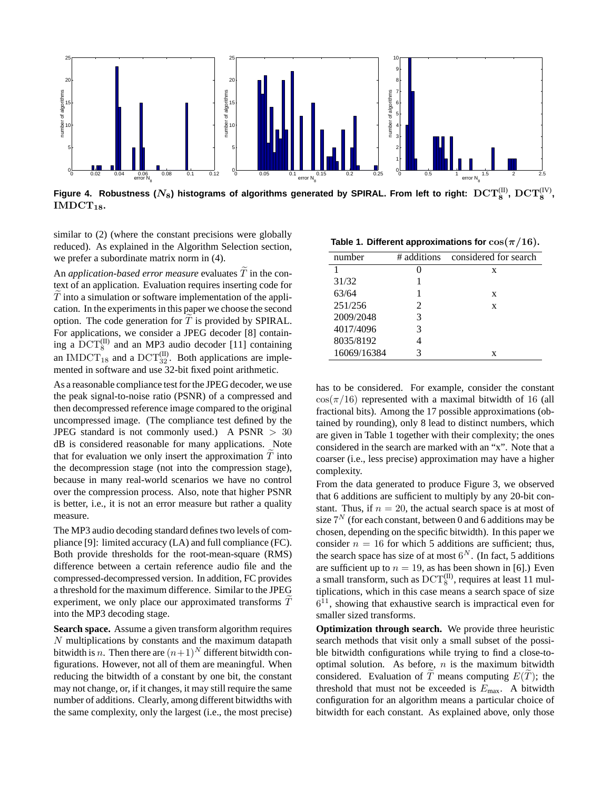

Figure 4. Robustness ( $N_8$ ) histograms of algorithms generated by SPIRAL. From left to right:  $\mathrm{DCT}_8^{(\mathrm{II})},\,\mathrm{DCT}_8^{(\mathrm{IV})},$  $IMDCT<sub>18</sub>$ .

similar to (2) (where the constant precisions were globally reduced). As explained in the Algorithm Selection section, we prefer a subordinate matrix norm in (4).

An *application-based error measure* evaluates  $\overline{T}$  in the context of an application. Evaluation requires inserting code for  $T$  into a simulation or software implementation of the application. In the experiments in this paper we choose the second option. The code generation for  $T$  is provided by SPIRAL. For applications, we consider a JPEG decoder [8] containing a  $\mathrm{DCT}_8^{(II)}$  and an MP3 audio decoder [11] containing an IMDCT<sub>18</sub> and a DCT $_{32}^{(II)}$ . Both applications are implemented in software and use 32-bit fixed point arithmetic.

As a reasonable compliance test for the JPEG decoder, we use the peak signal-to-noise ratio (PSNR) of a compressed and then decompressed reference image compared to the original uncompressed image. (The compliance test defined by the JPEG standard is not commonly used.) A PSNR  $> 30$ dB is considered reasonable for many applications. Note that for evaluation we only insert the approximation  $T$  into the decompression stage (not into the compression stage), because in many real-world scenarios we have no control over the compression process. Also, note that higher PSNR is better, i.e., it is not an error measure but rather a quality measure.

The MP3 audio decoding standard defines two levels of compliance [9]: limited accuracy (LA) and full compliance (FC). Both provide thresholds for the root-mean-square (RMS) difference between a certain reference audio file and the compressed-decompressed version. In addition, FC provides a threshold for the maximum difference. Similar to the JPEG experiment, we only place our approximated transforms  $T$ into the MP3 decoding stage.

**Search space.** Assume a given transform algorithm requires N multiplications by constants and the maximum datapath bitwidth is *n*. Then there are  $(n+1)^N$  different bitwidth configurations. However, not all of them are meaningful. When reducing the bitwidth of a constant by one bit, the constant may not change, or, if it changes, it may still require the same number of additions. Clearly, among different bitwidths with the same complexity, only the largest (i.e., the most precise)

**Table 1. Different approximations for**  $\cos(\pi/16)$ **.** 

| number      |                       | # additions considered for search |
|-------------|-----------------------|-----------------------------------|
|             |                       | x                                 |
| 31/32       |                       |                                   |
| 63/64       |                       | X                                 |
| 251/256     | $\mathcal{D}_{\cdot}$ | X                                 |
| 2009/2048   | 3                     |                                   |
| 4017/4096   | 3                     |                                   |
| 8035/8192   |                       |                                   |
| 16069/16384 | 3                     | x                                 |

has to be considered. For example, consider the constant  $\cos(\pi/16)$  represented with a maximal bitwidth of 16 (all fractional bits). Among the 17 possible approximations (obtained by rounding), only 8 lead to distinct numbers, which are given in Table 1 together with their complexity; the ones considered in the search are marked with an "x". Note that a coarser (i.e., less precise) approximation may have a higher complexity.

From the data generated to produce Figure 3, we observed that 6 additions are sufficient to multiply by any 20-bit constant. Thus, if  $n = 20$ , the actual search space is at most of size  $7<sup>N</sup>$  (for each constant, between 0 and 6 additions may be chosen, depending on the specific bitwidth). In this paper we consider  $n = 16$  for which 5 additions are sufficient; thus, the search space has size of at most  $6^N$ . (In fact, 5 additions are sufficient up to  $n = 19$ , as has been shown in [6].) Even a small transform, such as  $\mathrm{DCT}_8^{(II)}$ , requires at least 11 multiplications, which in this case means a search space of size  $6<sup>11</sup>$ , showing that exhaustive search is impractical even for smaller sized transforms.

**Optimization through search.** We provide three heuristic search methods that visit only a small subset of the possible bitwidth configurations while trying to find a close-tooptimal solution. As before,  $n$  is the maximum bitwidth considered. Evaluation of T means computing  $E(T)$ ; the threshold that must not be exceeded is  $E_{\text{max}}$ . A bitwidth configuration for an algorithm means a particular choice of bitwidth for each constant. As explained above, only those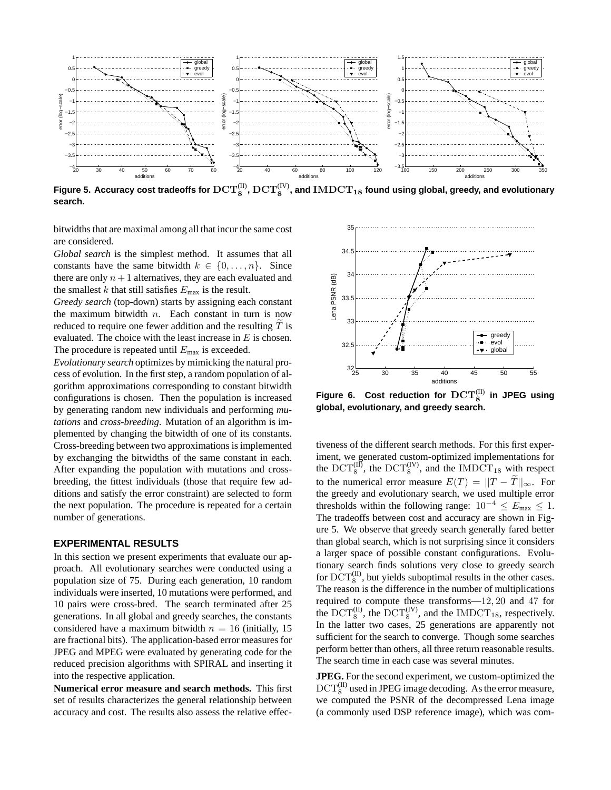

Figure 5. Accuracy cost tradeoffs for  $\mathrm{DCT}_8^{(\rm II)},\mathrm{DCT}_8^{(\rm IV)}$ , and  $\mathrm{IMDCT}_{18}$  found using global, greedy, and evolutionary **search.**

bitwidths that are maximal among all that incur the same cost are considered.

*Global search* is the simplest method. It assumes that all constants have the same bitwidth  $k \in \{0, \ldots, n\}$ . Since there are only  $n + 1$  alternatives, they are each evaluated and the smallest k that still satisfies  $E_{\text{max}}$  is the result.

*Greedy search* (top-down) starts by assigning each constant the maximum bitwidth  $n$ . Each constant in turn is now reduced to require one fewer addition and the resulting  $T$  is evaluated. The choice with the least increase in  $E$  is chosen. The procedure is repeated until  $E_{\text{max}}$  is exceeded.

*Evolutionary search* optimizes by mimicking the natural process of evolution. In the first step, a random population of algorithm approximations corresponding to constant bitwidth configurations is chosen. Then the population is increased by generating random new individuals and performing *mutations* and *cross-breeding*. Mutation of an algorithm is implemented by changing the bitwidth of one of its constants. Cross-breeding between two approximations is implemented by exchanging the bitwidths of the same constant in each. After expanding the population with mutations and crossbreeding, the fittest individuals (those that require few additions and satisfy the error constraint) are selected to form the next population. The procedure is repeated for a certain number of generations.

#### **EXPERIMENTAL RESULTS**

In this section we present experiments that evaluate our approach. All evolutionary searches were conducted using a population size of 75. During each generation, 10 random individuals were inserted, 10 mutations were performed, and 10 pairs were cross-bred. The search terminated after 25 generations. In all global and greedy searches, the constants considered have a maximum bitwidth  $n = 16$  (initially, 15) are fractional bits). The application-based error measures for JPEG and MPEG were evaluated by generating code for the reduced precision algorithms with SPIRAL and inserting it into the respective application.

**Numerical error measure and search methods.** This first set of results characterizes the general relationship between accuracy and cost. The results also assess the relative effec-



Figure 6. Cost reduction for  $\mathrm{DCT}_8^{(\mathrm{II})}$ **in JPEG using global, evolutionary, and greedy search.**

tiveness of the different search methods. For this first experiment, we generated custom-optimized implementations for the DCT<sup>(II)</sup>, the DCT<sup>(IV)</sup>, and the IMDCT<sub>18</sub> with respect to the numerical error measure  $E(T) = ||T - \tilde{T}||_{\infty}$ . For the greedy and evolutionary search, we used multiple error thresholds within the following range:  $10^{-4} \le E_{\text{max}} \le 1$ . The tradeoffs between cost and accuracy are shown in Figure 5. We observe that greedy search generally fared better than global search, which is not surprising since it considers a larger space of possible constant configurations. Evolutionary search finds solutions very close to greedy search for  $\mathrm{DCT}_8^{(II)}$ , but yields suboptimal results in the other cases. The reason is the difference in the number of multiplications required to compute these transforms—12, 20 and 47 for the  $DCT_8^{(II)}$ , the  $DCT_8^{(IV)}$ , and the IMDCT<sub>18</sub>, respectively. In the latter two cases, 25 generations are apparently not sufficient for the search to converge. Though some searches perform better than others, all three return reasonable results. The search time in each case was several minutes.

**JPEG.** For the second experiment, we custom-optimized the  $\mathrm{DCT}_8^{(\mathrm{II})}$  used in JPEG image decoding. As the error measure, we computed the PSNR of the decompressed Lena image (a commonly used DSP reference image), which was com-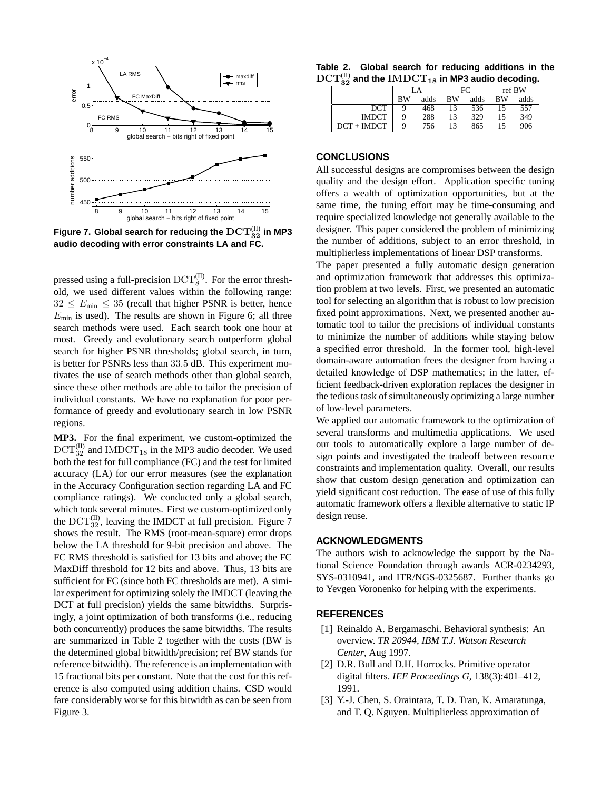

Figure 7. Global search for reducing the  $\mathrm{DCT}_{32}^{(\mathrm{II})}$  in MP3 **audio decoding with error constraints LA and FC.**

pressed using a full-precision  $\mathrm{DCT}_8^{(\text{II})}$ . For the error threshold, we used different values within the following range:  $32 \le E_{\text{min}} \le 35$  (recall that higher PSNR is better, hence  $E_{\text{min}}$  is used). The results are shown in Figure 6; all three search methods were used. Each search took one hour at most. Greedy and evolutionary search outperform global search for higher PSNR thresholds; global search, in turn, is better for PSNRs less than 33.5 dB. This experiment motivates the use of search methods other than global search, since these other methods are able to tailor the precision of individual constants. We have no explanation for poor performance of greedy and evolutionary search in low PSNR regions.

**MP3.** For the final experiment, we custom-optimized the  $\mathrm{DCT}_{32}^{(II)}$  and IMDCT<sub>18</sub> in the MP3 audio decoder. We used both the test for full compliance (FC) and the test for limited accuracy (LA) for our error measures (see the explanation in the Accuracy Configuration section regarding LA and FC compliance ratings). We conducted only a global search, which took several minutes. First we custom-optimized only the  $\mathrm{DCT}_{32}^{(II)}$ , leaving the IMDCT at full precision. Figure 7 shows the result. The RMS (root-mean-square) error drops below the LA threshold for 9-bit precision and above. The FC RMS threshold is satisfied for 13 bits and above; the FC MaxDiff threshold for 12 bits and above. Thus, 13 bits are sufficient for FC (since both FC thresholds are met). A similar experiment for optimizing solely the IMDCT (leaving the DCT at full precision) yields the same bitwidths. Surprisingly, a joint optimization of both transforms (i.e., reducing both concurrently) produces the same bitwidths. The results are summarized in Table 2 together with the costs (BW is the determined global bitwidth/precision; ref BW stands for reference bitwidth). The reference is an implementation with 15 fractional bits per constant. Note that the cost for this reference is also computed using addition chains. CSD would fare considerably worse for this bitwidth as can be seen from Figure 3.

| Table 2. Global search for reducing additions in the                            |  |  |
|---------------------------------------------------------------------------------|--|--|
| $\mathrm{DCT}_{32}^{(II)}$ and the $\mathrm{IMDCT}_{18}$ in MP3 audio decoding. |  |  |

| υu            |    |      |    |      |           |      |
|---------------|----|------|----|------|-----------|------|
|               |    |      | FC |      | ref BW    |      |
|               | BW | adds | вw | adds | <b>BW</b> | adds |
| DCT           | a  | 468  |    | 536  |           | 557  |
| <b>IMDCT</b>  |    | 288  |    | 329  |           | 349  |
| $DCT + IMDCT$ |    | 756  |    | 865  |           | 906  |

# **CONCLUSIONS**

All successful designs are compromises between the design quality and the design effort. Application specific tuning offers a wealth of optimization opportunities, but at the same time, the tuning effort may be time-consuming and require specialized knowledge not generally available to the designer. This paper considered the problem of minimizing the number of additions, subject to an error threshold, in multiplierless implementations of linear DSP transforms.

The paper presented a fully automatic design generation and optimization framework that addresses this optimization problem at two levels. First, we presented an automatic tool for selecting an algorithm that is robust to low precision fixed point approximations. Next, we presented another automatic tool to tailor the precisions of individual constants to minimize the number of additions while staying below a specified error threshold. In the former tool, high-level domain-aware automation frees the designer from having a detailed knowledge of DSP mathematics; in the latter, efficient feedback-driven exploration replaces the designer in the tedious task of simultaneously optimizing a large number of low-level parameters.

We applied our automatic framework to the optimization of several transforms and multimedia applications. We used our tools to automatically explore a large number of design points and investigated the tradeoff between resource constraints and implementation quality. Overall, our results show that custom design generation and optimization can yield significant cost reduction. The ease of use of this fully automatic framework offers a flexible alternative to static IP design reuse.

#### **ACKNOWLEDGMENTS**

The authors wish to acknowledge the support by the National Science Foundation through awards ACR-0234293, SYS-0310941, and ITR/NGS-0325687. Further thanks go to Yevgen Voronenko for helping with the experiments.

### **REFERENCES**

- [1] Reinaldo A. Bergamaschi. Behavioral synthesis: An overview. *TR 20944, IBM T.J. Watson Research Center*, Aug 1997.
- [2] D.R. Bull and D.H. Horrocks. Primitive operator digital filters. *IEE Proceedings G*, 138(3):401–412, 1991.
- [3] Y.-J. Chen, S. Oraintara, T. D. Tran, K. Amaratunga, and T. Q. Nguyen. Multiplierless approximation of